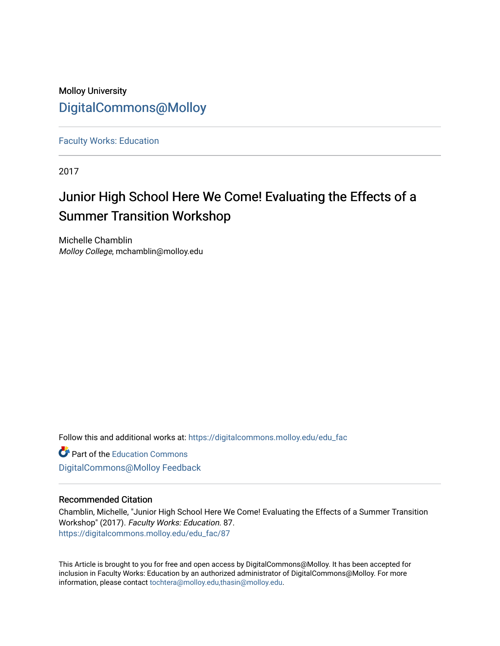### Molloy University [DigitalCommons@Molloy](https://digitalcommons.molloy.edu/)

[Faculty Works: Education](https://digitalcommons.molloy.edu/edu_fac) 

2017

## Junior High School Here We Come! Evaluating the Effects of a Summer Transition Workshop

Michelle Chamblin Molloy College, mchamblin@molloy.edu

Follow this and additional works at: [https://digitalcommons.molloy.edu/edu\\_fac](https://digitalcommons.molloy.edu/edu_fac?utm_source=digitalcommons.molloy.edu%2Fedu_fac%2F87&utm_medium=PDF&utm_campaign=PDFCoverPages)

**Part of the [Education Commons](https://network.bepress.com/hgg/discipline/784?utm_source=digitalcommons.molloy.edu%2Fedu_fac%2F87&utm_medium=PDF&utm_campaign=PDFCoverPages)** [DigitalCommons@Molloy Feedback](https://molloy.libwizard.com/f/dcfeedback)

#### Recommended Citation

Chamblin, Michelle, "Junior High School Here We Come! Evaluating the Effects of a Summer Transition Workshop" (2017). Faculty Works: Education. 87. [https://digitalcommons.molloy.edu/edu\\_fac/87](https://digitalcommons.molloy.edu/edu_fac/87?utm_source=digitalcommons.molloy.edu%2Fedu_fac%2F87&utm_medium=PDF&utm_campaign=PDFCoverPages) 

This Article is brought to you for free and open access by DigitalCommons@Molloy. It has been accepted for inclusion in Faculty Works: Education by an authorized administrator of DigitalCommons@Molloy. For more information, please contact [tochtera@molloy.edu,thasin@molloy.edu.](mailto:tochtera@molloy.edu,thasin@molloy.edu)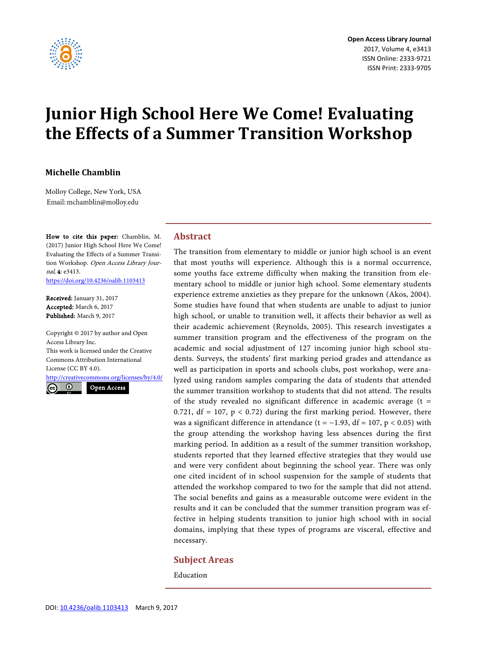

# **Junior High School Here We Come! Evaluating the Effects of a Summer Transition Workshop**

#### **Michelle Chamblin**

Molloy College, New York, USA Email: mchamblin@molloy.edu

How to cite this paper: Chamblin, M. (2017) Junior High School Here We Come! Evaluating the Effects of a Summer Transition Workshop. Open Access Library Journal, 4: e3413. <https://doi.org/10.4236/oalib.1103413>

Received: January 31, 2017 Accepted: March 6, 2017 Published: March 9, 2017

Copyright © 2017 by author and Open Access Library Inc. This work is licensed under the Creative Commons Attribution International License (CC BY 4.0).

<http://creativecommons.org/licenses/by/4.0/>  $\odot$ Open Access

#### **Abstract**

The transition from elementary to middle or junior high school is an event that most youths will experience. Although this is a normal occurrence, some youths face extreme difficulty when making the transition from elementary school to middle or junior high school. Some elementary students experience extreme anxieties as they prepare for the unknown (Akos, 2004). Some studies have found that when students are unable to adjust to junior high school, or unable to transition well, it affects their behavior as well as their academic achievement (Reynolds, 2005). This research investigates a summer transition program and the effectiveness of the program on the academic and social adjustment of 127 incoming junior high school students. Surveys, the students' first marking period grades and attendance as well as participation in sports and schools clubs, post workshop, were analyzed using random samples comparing the data of students that attended the summer transition workshop to students that did not attend. The results of the study revealed no significant difference in academic average  $(t =$ 0.721,  $df = 107$ ,  $p < 0.72$ ) during the first marking period. However, there was a significant difference in attendance (t = -1.93, df = 107, p < 0.05) with the group attending the workshop having less absences during the first marking period. In addition as a result of the summer transition workshop, students reported that they learned effective strategies that they would use and were very confident about beginning the school year. There was only one cited incident of in school suspension for the sample of students that attended the workshop compared to two for the sample that did not attend. The social benefits and gains as a measurable outcome were evident in the results and it can be concluded that the summer transition program was effective in helping students transition to junior high school with in social domains, implying that these types of programs are visceral, effective and necessary.

#### **Subject Areas**

Education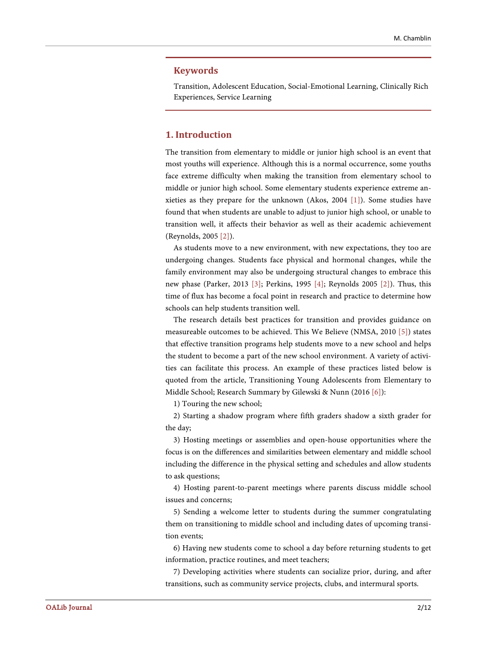#### **Keywords**

Transition, Adolescent Education, Social-Emotional Learning, Clinically Rich Experiences, Service Learning

#### **1. Introduction**

The transition from elementary to middle or junior high school is an event that most youths will experience. Although this is a normal occurrence, some youths face extreme difficulty when making the transition from elementary school to middle or junior high school. Some elementary students experience extreme anxieties as they prepare for the unknown (Akos, 2004 [\[1\]\)](#page-11-0). Some studies have found that when students are unable to adjust to junior high school, or unable to transition well, it affects their behavior as well as their academic achievement (Reynolds, 2005 [\[2\]\)](#page-11-1).

As students move to a new environment, with new expectations, they too are undergoing changes. Students face physical and hormonal changes, while the family environment may also be undergoing structural changes to embrace this new phase (Parker, 2013 [\[3\];](#page-11-2) Perkins, 1995 [\[4\];](#page-11-3) Reynolds 2005 [\[2\]\)](#page-11-1). Thus, this time of flux has become a focal point in research and practice to determine how schools can help students transition well.

The research details best practices for transition and provides guidance on measureable outcomes to be achieved. This We Believe (NMSA, 2010 [\[5\]\)](#page-11-4) states that effective transition programs help students move to a new school and helps the student to become a part of the new school environment. A variety of activities can facilitate this process. An example of these practices listed below is quoted from the article, Transitioning Young Adolescents from Elementary to Middle School; Research Summary by Gilewski & Nunn (2016 [\[6\]\)](#page-11-5):

1) Touring the new school;

2) Starting a shadow program where fifth graders shadow a sixth grader for the day;

3) Hosting meetings or assemblies and open-house opportunities where the focus is on the differences and similarities between elementary and middle school including the difference in the physical setting and schedules and allow students to ask questions;

4) Hosting parent-to-parent meetings where parents discuss middle school issues and concerns;

5) Sending a welcome letter to students during the summer congratulating them on transitioning to middle school and including dates of upcoming transition events;

6) Having new students come to school a day before returning students to get information, practice routines, and meet teachers;

7) Developing activities where students can socialize prior, during, and after transitions, such as community service projects, clubs, and intermural sports.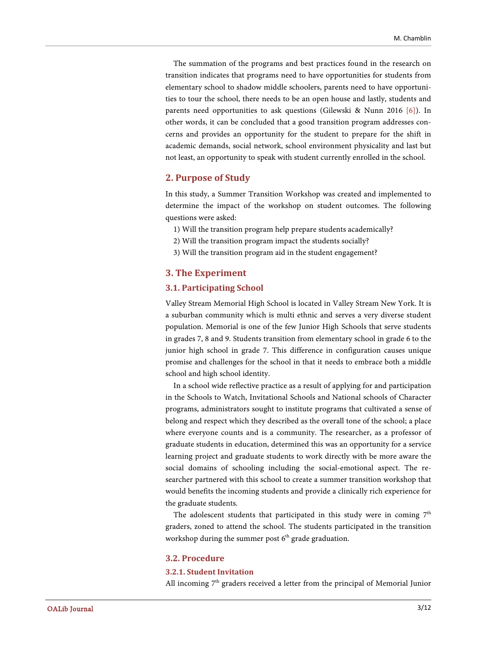The summation of the programs and best practices found in the research on transition indicates that programs need to have opportunities for students from elementary school to shadow middle schoolers, parents need to have opportunities to tour the school, there needs to be an open house and lastly, students and parents need opportunities to ask questions (Gilewski & Nunn 2016 [\[6\]\)](#page-11-5). In other words, it can be concluded that a good transition program addresses concerns and provides an opportunity for the student to prepare for the shift in academic demands, social network, school environment physicality and last but not least, an opportunity to speak with student currently enrolled in the school.

#### **2. Purpose of Study**

In this study, a Summer Transition Workshop was created and implemented to determine the impact of the workshop on student outcomes. The following questions were asked:

- 1) Will the transition program help prepare students academically?
- 2) Will the transition program impact the students socially?
- 3) Will the transition program aid in the student engagement?

#### **3. The Experiment**

#### **3.1. Participating School**

Valley Stream Memorial High School is located in Valley Stream New York. It is a suburban community which is multi ethnic and serves a very diverse student population. Memorial is one of the few Junior High Schools that serve students in grades 7, 8 and 9. Students transition from elementary school in grade 6 to the junior high school in grade 7. This difference in configuration causes unique promise and challenges for the school in that it needs to embrace both a middle school and high school identity.

In a school wide reflective practice as a result of applying for and participation in the Schools to Watch, Invitational Schools and National schools of Character programs, administrators sought to institute programs that cultivated a sense of belong and respect which they described as the overall tone of the school; a place where everyone counts and is a community. The researcher, as a professor of graduate students in education, determined this was an opportunity for a service learning project and graduate students to work directly with be more aware the social domains of schooling including the social-emotional aspect. The researcher partnered with this school to create a summer transition workshop that would benefits the incoming students and provide a clinically rich experience for the graduate students.

The adolescent students that participated in this study were in coming  $7<sup>th</sup>$ graders, zoned to attend the school. The students participated in the transition workshop during the summer post  $6<sup>th</sup>$  grade graduation.

#### **3.2. Procedure**

#### **3.2.1. Student Invitation**

All incoming  $7<sup>th</sup>$  graders received a letter from the principal of Memorial Junior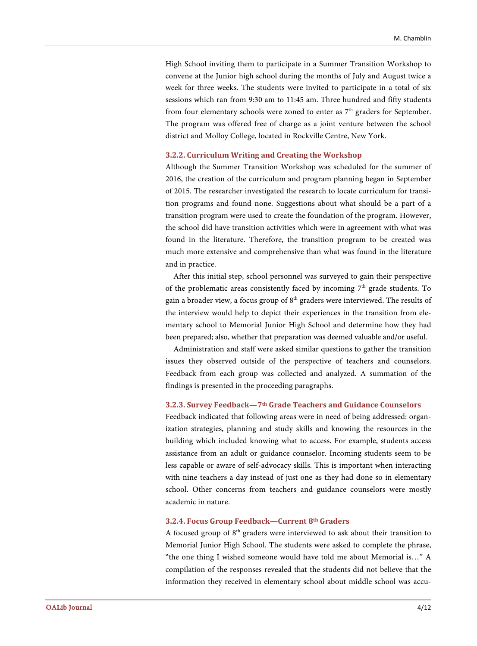High School inviting them to participate in a Summer Transition Workshop to convene at the Junior high school during the months of July and August twice a week for three weeks. The students were invited to participate in a total of six sessions which ran from 9:30 am to 11:45 am. Three hundred and fifty students from four elementary schools were zoned to enter as  $7<sup>th</sup>$  graders for September. The program was offered free of charge as a joint venture between the school district and Molloy College, located in Rockville Centre, New York.

#### **3.2.2. Curriculum Writing and Creating the Workshop**

Although the Summer Transition Workshop was scheduled for the summer of 2016, the creation of the curriculum and program planning began in September of 2015. The researcher investigated the research to locate curriculum for transition programs and found none. Suggestions about what should be a part of a transition program were used to create the foundation of the program. However, the school did have transition activities which were in agreement with what was found in the literature. Therefore, the transition program to be created was much more extensive and comprehensive than what was found in the literature and in practice.

After this initial step, school personnel was surveyed to gain their perspective of the problematic areas consistently faced by incoming  $7<sup>th</sup>$  grade students. To gain a broader view, a focus group of  $8<sup>th</sup>$  graders were interviewed. The results of the interview would help to depict their experiences in the transition from elementary school to Memorial Junior High School and determine how they had been prepared; also, whether that preparation was deemed valuable and/or useful.

Administration and staff were asked similar questions to gather the transition issues they observed outside of the perspective of teachers and counselors. Feedback from each group was collected and analyzed. A summation of the findings is presented in the proceeding paragraphs.

#### **3.2.3. Survey Feedback—7th Grade Teachers and Guidance Counselors**

Feedback indicated that following areas were in need of being addressed: organization strategies, planning and study skills and knowing the resources in the building which included knowing what to access. For example, students access assistance from an adult or guidance counselor. Incoming students seem to be less capable or aware of self-advocacy skills. This is important when interacting with nine teachers a day instead of just one as they had done so in elementary school. Other concerns from teachers and guidance counselors were mostly academic in nature.

#### **3.2.4. Focus Group Feedback—Current 8th Graders**

A focused group of  $8<sup>th</sup>$  graders were interviewed to ask about their transition to Memorial Junior High School. The students were asked to complete the phrase, "the one thing I wished someone would have told me about Memorial is…" A compilation of the responses revealed that the students did not believe that the information they received in elementary school about middle school was accu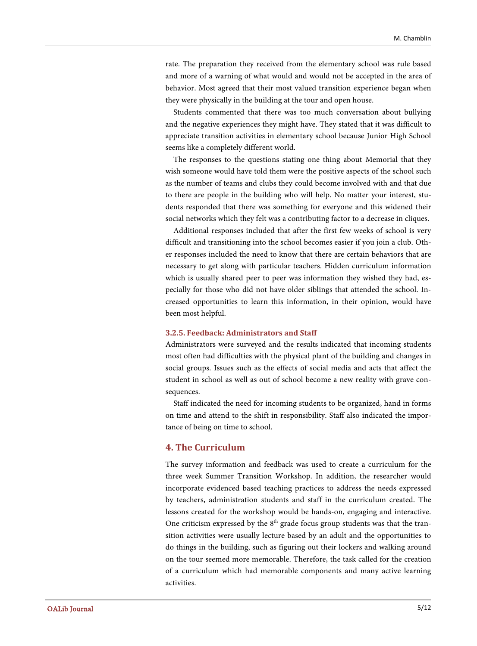rate. The preparation they received from the elementary school was rule based and more of a warning of what would and would not be accepted in the area of behavior. Most agreed that their most valued transition experience began when they were physically in the building at the tour and open house.

Students commented that there was too much conversation about bullying and the negative experiences they might have. They stated that it was difficult to appreciate transition activities in elementary school because Junior High School seems like a completely different world.

The responses to the questions stating one thing about Memorial that they wish someone would have told them were the positive aspects of the school such as the number of teams and clubs they could become involved with and that due to there are people in the building who will help. No matter your interest, students responded that there was something for everyone and this widened their social networks which they felt was a contributing factor to a decrease in cliques.

Additional responses included that after the first few weeks of school is very difficult and transitioning into the school becomes easier if you join a club. Other responses included the need to know that there are certain behaviors that are necessary to get along with particular teachers. Hidden curriculum information which is usually shared peer to peer was information they wished they had, especially for those who did not have older siblings that attended the school. Increased opportunities to learn this information, in their opinion, would have been most helpful.

#### **3.2.5. Feedback: Administrators and Staff**

Administrators were surveyed and the results indicated that incoming students most often had difficulties with the physical plant of the building and changes in social groups. Issues such as the effects of social media and acts that affect the student in school as well as out of school become a new reality with grave consequences.

Staff indicated the need for incoming students to be organized, hand in forms on time and attend to the shift in responsibility. Staff also indicated the importance of being on time to school.

#### **4. The Curriculum**

The survey information and feedback was used to create a curriculum for the three week Summer Transition Workshop. In addition, the researcher would incorporate evidenced based teaching practices to address the needs expressed by teachers, administration students and staff in the curriculum created. The lessons created for the workshop would be hands-on, engaging and interactive. One criticism expressed by the  $8<sup>th</sup>$  grade focus group students was that the transition activities were usually lecture based by an adult and the opportunities to do things in the building, such as figuring out their lockers and walking around on the tour seemed more memorable. Therefore, the task called for the creation of a curriculum which had memorable components and many active learning activities.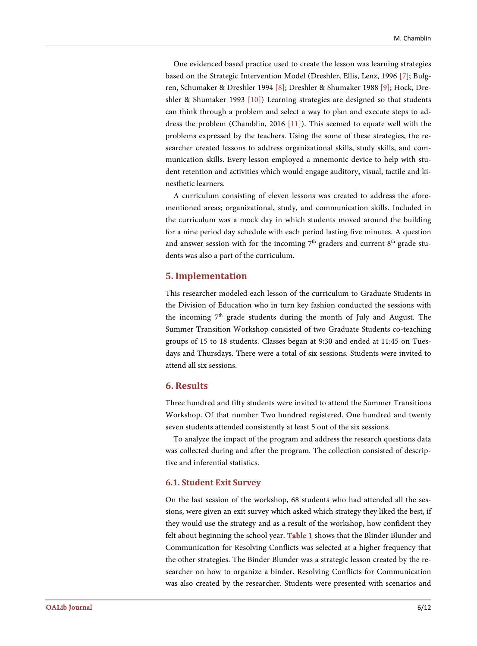One evidenced based practice used to create the lesson was learning strategies based on the Strategic Intervention Model (Dreshler, Ellis, Lenz, 1996 [\[7\];](#page-11-6) Bulgren, Schumaker & Dreshler 1994 [\[8\];](#page-11-7) Dreshler & Shumaker 1988 [\[9\];](#page-11-8) Hock, Dreshler & Shumaker 1993 [\[10\]\)](#page-11-9) Learning strategies are designed so that students can think through a problem and select a way to plan and execute steps to address the problem (Chamblin, 2016 [\[11\]\)](#page-12-0). This seemed to equate well with the problems expressed by the teachers. Using the some of these strategies, the researcher created lessons to address organizational skills, study skills, and communication skills. Every lesson employed a mnemonic device to help with student retention and activities which would engage auditory, visual, tactile and kinesthetic learners.

A curriculum consisting of eleven lessons was created to address the aforementioned areas; organizational, study, and communication skills. Included in the curriculum was a mock day in which students moved around the building for a nine period day schedule with each period lasting five minutes. A question and answer session with for the incoming  $7<sup>th</sup>$  graders and current  $8<sup>th</sup>$  grade students was also a part of the curriculum.

#### **5. Implementation**

This researcher modeled each lesson of the curriculum to Graduate Students in the Division of Education who in turn key fashion conducted the sessions with the incoming  $7<sup>th</sup>$  grade students during the month of July and August. The Summer Transition Workshop consisted of two Graduate Students co-teaching groups of 15 to 18 students. Classes began at 9:30 and ended at 11:45 on Tuesdays and Thursdays. There were a total of six sessions. Students were invited to attend all six sessions.

#### **6. Results**

Three hundred and fifty students were invited to attend the Summer Transitions Workshop. Of that number Two hundred registered. One hundred and twenty seven students attended consistently at least 5 out of the six sessions.

To analyze the impact of the program and address the research questions data was collected during and after the program. The collection consisted of descriptive and inferential statistics.

#### **6.1. Student Exit Survey**

On the last session of the workshop, 68 students who had attended all the sessions, were given an exit survey which asked which strategy they liked the best, if they would use the strategy and as a result of the workshop, how confident they felt about beginning the school year. [Table 1](#page-7-0) shows that the Blinder Blunder and Communication for Resolving Conflicts was selected at a higher frequency that the other strategies. The Binder Blunder was a strategic lesson created by the researcher on how to organize a binder. Resolving Conflicts for Communication was also created by the researcher. Students were presented with scenarios and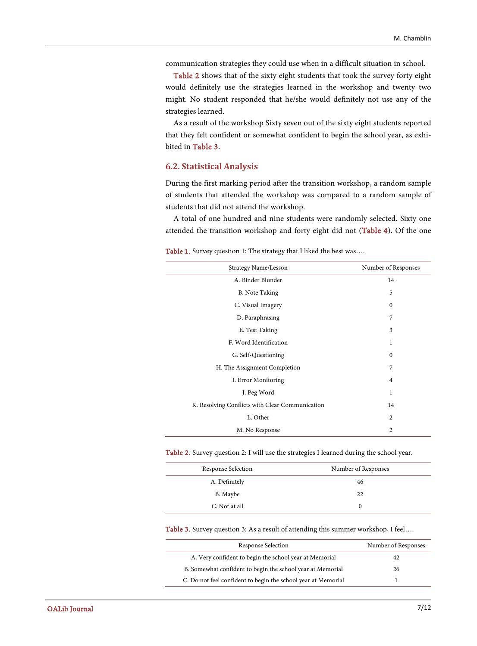communication strategies they could use when in a difficult situation in school.

[Table 2](#page-7-1) shows that of the sixty eight students that took the survey forty eight would definitely use the strategies learned in the workshop and twenty two might. No student responded that he/she would definitely not use any of the strategies learned.

As a result of the workshop Sixty seven out of the sixty eight students reported that they felt confident or somewhat confident to begin the school year, as exhibited i[n Table 3.](#page-7-2)

#### **6.2. Statistical Analysis**

During the first marking period after the transition workshop, a random sample of students that attended the workshop was compared to a random sample of students that did not attend the workshop.

A total of one hundred and nine students were randomly selected. Sixty one attended the transition workshop and forty eight did not [\(Table 4\)](#page-8-0). Of the one

<span id="page-7-0"></span>Table 1. Survey question 1: The strategy that I liked the best was....

| Strategy Name/Lesson                            | Number of Responses |
|-------------------------------------------------|---------------------|
| A. Binder Blunder                               | 14                  |
| <b>B.</b> Note Taking                           | 5                   |
| C. Visual Imagery                               | $\mathbf{0}$        |
| D. Paraphrasing                                 | $\overline{7}$      |
| E. Test Taking                                  | 3                   |
| F. Word Identification                          | 1                   |
| G. Self-Questioning                             | $\mathbf{0}$        |
| H. The Assignment Completion                    | 7                   |
| I. Error Monitoring                             | 4                   |
| J. Peg Word                                     | 1                   |
| K. Resolving Conflicts with Clear Communication | 14                  |
| L. Other                                        | 2                   |
| M. No Response                                  | $\overline{2}$      |

<span id="page-7-1"></span>Table 2. Survey question 2: I will use the strategies I learned during the school year.

| Response Selection | Number of Responses |
|--------------------|---------------------|
| A. Definitely      | 46                  |
| B. Maybe           | 22                  |
| C. Not at all      |                     |

#### <span id="page-7-2"></span>Table 3. Survey question 3: As a result of attending this summer workshop, I feel….

| Response Selection                                            | Number of Responses |
|---------------------------------------------------------------|---------------------|
| A. Very confident to begin the school year at Memorial        | 42                  |
| B. Somewhat confident to begin the school year at Memorial    | 26                  |
| C. Do not feel confident to begin the school year at Memorial |                     |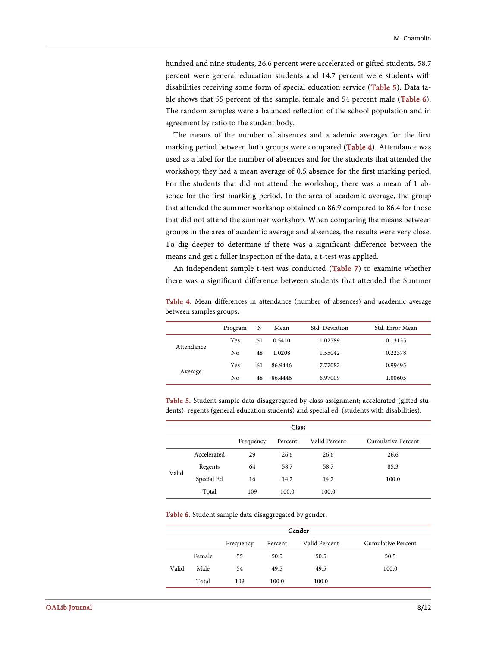hundred and nine students, 26.6 percent were accelerated or gifted students. 58.7 percent were general education students and 14.7 percent were students with disabilities receiving some form of special education service [\(Table 5\)](#page-8-1). Data table shows that 55 percent of the sample, female and 54 percent male [\(Table 6\)](#page-8-2). The random samples were a balanced reflection of the school population and in agreement by ratio to the student body.

The means of the number of absences and academic averages for the first marking period between both groups were compared [\(Table 4\)](#page-8-0). Attendance was used as a label for the number of absences and for the students that attended the workshop; they had a mean average of 0.5 absence for the first marking period. For the students that did not attend the workshop, there was a mean of 1 absence for the first marking period. In the area of academic average, the group that attended the summer workshop obtained an 86.9 compared to 86.4 for those that did not attend the summer workshop. When comparing the means between groups in the area of academic average and absences, the results were very close. To dig deeper to determine if there was a significant difference between the means and get a fuller inspection of the data, a t-test was applied.

An independent sample t-test was conducted [\(Table 7\)](#page-9-0) to examine whether there was a significant difference between students that attended the Summer

<span id="page-8-0"></span>

|                         |  | <b>Table 4.</b> Mean differences in attendance (number of absences) and academic average |  |  |  |
|-------------------------|--|------------------------------------------------------------------------------------------|--|--|--|
| between samples groups. |  |                                                                                          |  |  |  |

|            | Program | N  | Mean    | Std. Deviation | Std. Error Mean |
|------------|---------|----|---------|----------------|-----------------|
| Attendance | Yes     | 61 | 0.5410  | 1.02589        | 0.13135         |
|            | No.     | 48 | 1.0208  | 1.55042        | 0.22378         |
| Average    | Yes     | 61 | 86.9446 | 7.77082        | 0.99495         |
|            | No.     | 48 | 86.4446 | 6.97009        | 1.00605         |

<span id="page-8-1"></span>Table 5. Student sample data disaggregated by class assignment; accelerated (gifted students), regents (general education students) and special ed. (students with disabilities).

|       | Class       |           |         |               |                    |  |  |  |  |
|-------|-------------|-----------|---------|---------------|--------------------|--|--|--|--|
|       |             | Frequency | Percent | Valid Percent | Cumulative Percent |  |  |  |  |
|       | Accelerated | 29        | 26.6    | 26.6          | 26.6               |  |  |  |  |
| Valid | Regents     | 64        | 58.7    | 58.7          | 85.3               |  |  |  |  |
|       | Special Ed  | 16        | 14.7    | 14.7          | 100.0              |  |  |  |  |
|       | Total       | 109       | 100.0   | 100.0         |                    |  |  |  |  |

Table 6. Student sample data disaggregated by gender.

<span id="page-8-2"></span>

| Gender |        |           |         |               |                    |  |  |  |
|--------|--------|-----------|---------|---------------|--------------------|--|--|--|
|        |        | Frequency | Percent | Valid Percent | Cumulative Percent |  |  |  |
|        | Female | 55        | 50.5    | 50.5          | 50.5               |  |  |  |
| Valid  | Male   | 54        | 49.5    | 49.5          | 100.0              |  |  |  |
|        | Total  | 109       | 100.0   | 100.0         |                    |  |  |  |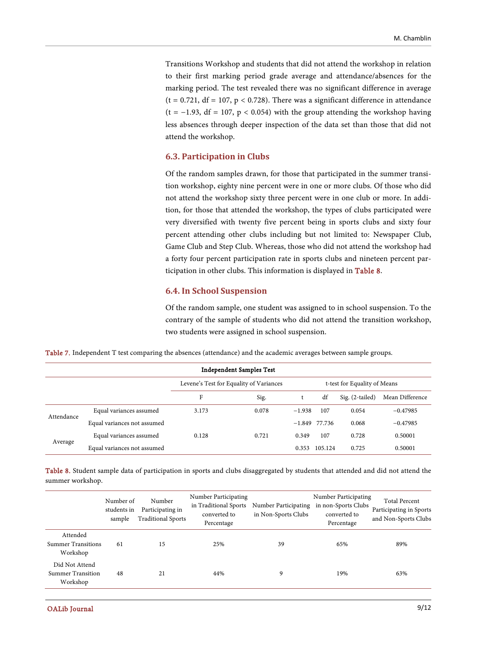Transitions Workshop and students that did not attend the workshop in relation to their first marking period grade average and attendance/absences for the marking period. The test revealed there was no significant difference in average  $(t = 0.721, df = 107, p < 0.728)$ . There was a significant difference in attendance  $(t = -1.93, df = 107, p < 0.054)$  with the group attending the workshop having less absences through deeper inspection of the data set than those that did not attend the workshop.

#### **6.3. Participation in Clubs**

Of the random samples drawn, for those that participated in the summer transition workshop, eighty nine percent were in one or more clubs. Of those who did not attend the workshop sixty three percent were in one club or more. In addition, for those that attended the workshop, the types of clubs participated were very diversified with twenty five percent being in sports clubs and sixty four percent attending other clubs including but not limited to: Newspaper Club, Game Club and Step Club. Whereas, those who did not attend the workshop had a forty four percent participation rate in sports clubs and nineteen percent participation in other clubs. This information is displayed in [Table 8.](#page-9-1)

#### **6.4. In School Suspension**

Of the random sample, one student was assigned to in school suspension. To the contrary of the sample of students who did not attend the transition workshop, two students were assigned in school suspension.

<span id="page-9-0"></span>

|  |  |  |  |  | Table 7. Independent T test comparing the absences (attendance) and the academic averages between sample groups. |  |
|--|--|--|--|--|------------------------------------------------------------------------------------------------------------------|--|
|--|--|--|--|--|------------------------------------------------------------------------------------------------------------------|--|

| <b>Independent Samples Test</b> |                             |       |                                         |                 |         |                              |                 |  |
|---------------------------------|-----------------------------|-------|-----------------------------------------|-----------------|---------|------------------------------|-----------------|--|
|                                 |                             |       | Levene's Test for Equality of Variances |                 |         | t-test for Equality of Means |                 |  |
|                                 |                             | F     | Sig.                                    |                 | df      | $Sig. (2-tailed)$            | Mean Difference |  |
| Attendance                      | Equal variances assumed     | 3.173 | 0.078                                   | $-1.938$        | 107     | 0.054                        | $-0.47985$      |  |
|                                 | Equal variances not assumed |       |                                         | $-1.849$ 77.736 |         | 0.068                        | $-0.47985$      |  |
|                                 | Equal variances assumed     | 0.128 | 0.721                                   | 0.349           | 107     | 0.728                        | 0.50001         |  |
| Average                         | Equal variances not assumed |       |                                         | 0.353           | 105.124 | 0.725                        | 0.50001         |  |

<span id="page-9-1"></span>Table 8. Student sample data of participation in sports and clubs disaggregated by students that attended and did not attend the summer workshop.

|                                                        | Number of<br>students in<br>sample | Number<br>Participating in<br><b>Traditional Sports</b> | Number Participating<br>in Traditional Sports<br>converted to<br>Percentage | Number Participating<br>in Non-Sports Clubs | Number Participating<br>in non-Sports Clubs<br>converted to<br>Percentage | <b>Total Percent</b><br>Participating in Sports<br>and Non-Sports Clubs |
|--------------------------------------------------------|------------------------------------|---------------------------------------------------------|-----------------------------------------------------------------------------|---------------------------------------------|---------------------------------------------------------------------------|-------------------------------------------------------------------------|
| Attended<br><b>Summer Transitions</b><br>Workshop      | 61                                 | 15                                                      | 25%                                                                         | 39                                          | 65%                                                                       | 89%                                                                     |
| Did Not Attend<br><b>Summer Transition</b><br>Workshop | 48                                 | 21                                                      | 44%                                                                         | 9                                           | 19%                                                                       | 63%                                                                     |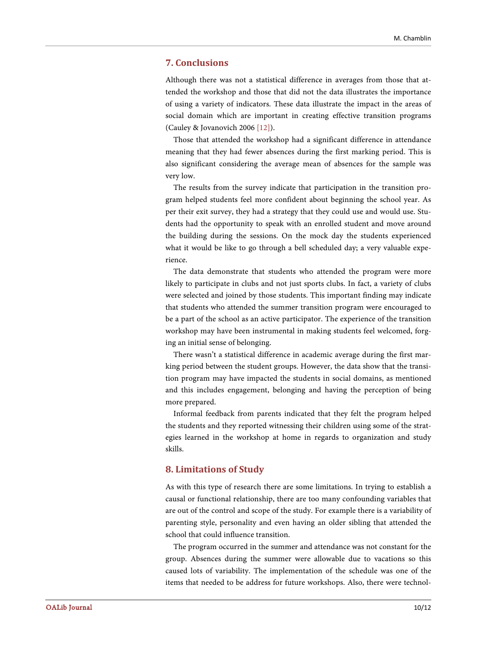#### **7. Conclusions**

Although there was not a statistical difference in averages from those that attended the workshop and those that did not the data illustrates the importance of using a variety of indicators. These data illustrate the impact in the areas of social domain which are important in creating effective transition programs (Cauley & Jovanovich 200[6 \[12\]\)](#page-12-1).

Those that attended the workshop had a significant difference in attendance meaning that they had fewer absences during the first marking period. This is also significant considering the average mean of absences for the sample was very low.

The results from the survey indicate that participation in the transition program helped students feel more confident about beginning the school year. As per their exit survey, they had a strategy that they could use and would use. Students had the opportunity to speak with an enrolled student and move around the building during the sessions. On the mock day the students experienced what it would be like to go through a bell scheduled day; a very valuable experience.

The data demonstrate that students who attended the program were more likely to participate in clubs and not just sports clubs. In fact, a variety of clubs were selected and joined by those students. This important finding may indicate that students who attended the summer transition program were encouraged to be a part of the school as an active participator. The experience of the transition workshop may have been instrumental in making students feel welcomed, forging an initial sense of belonging.

There wasn't a statistical difference in academic average during the first marking period between the student groups. However, the data show that the transition program may have impacted the students in social domains, as mentioned and this includes engagement, belonging and having the perception of being more prepared.

Informal feedback from parents indicated that they felt the program helped the students and they reported witnessing their children using some of the strategies learned in the workshop at home in regards to organization and study skills.

#### **8. Limitations of Study**

As with this type of research there are some limitations. In trying to establish a causal or functional relationship, there are too many confounding variables that are out of the control and scope of the study. For example there is a variability of parenting style, personality and even having an older sibling that attended the school that could influence transition.

The program occurred in the summer and attendance was not constant for the group. Absences during the summer were allowable due to vacations so this caused lots of variability. The implementation of the schedule was one of the items that needed to be address for future workshops. Also, there were technol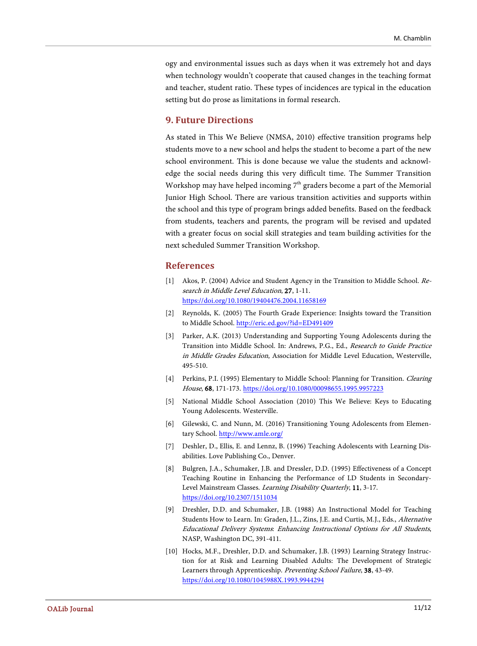ogy and environmental issues such as days when it was extremely hot and days when technology wouldn't cooperate that caused changes in the teaching format and teacher, student ratio. These types of incidences are typical in the education setting but do prose as limitations in formal research.

#### **9. Future Directions**

As stated in This We Believe (NMSA, 2010) effective transition programs help students move to a new school and helps the student to become a part of the new school environment. This is done because we value the students and acknowledge the social needs during this very difficult time. The Summer Transition Workshop may have helped incoming  $7<sup>th</sup>$  graders become a part of the Memorial Junior High School. There are various transition activities and supports within the school and this type of program brings added benefits. Based on the feedback from students, teachers and parents, the program will be revised and updated with a greater focus on social skill strategies and team building activities for the next scheduled Summer Transition Workshop.

#### **References**

- <span id="page-11-0"></span>[1] Akos, P. (2004) Advice and Student Agency in the Transition to Middle School. Research in Middle Level Education, 27, 1-11. <https://doi.org/10.1080/19404476.2004.11658169>
- <span id="page-11-1"></span>[2] Reynolds, K. (2005) The Fourth Grade Experience: Insights toward the Transition to Middle School[. http://eric.ed.gov/?id=ED491409](http://eric.ed.gov/?id=ED491409)
- <span id="page-11-2"></span>[3] Parker, A.K. (2013) Understanding and Supporting Young Adolescents during the Transition into Middle School. In: Andrews, P.G., Ed., Research to Guide Practice in Middle Grades Education, Association for Middle Level Education, Westerville, 495-510.
- <span id="page-11-3"></span>[4] Perkins, P.I. (1995) Elementary to Middle School: Planning for Transition. *Clearing* House, 68, 171-173. <https://doi.org/10.1080/00098655.1995.9957223>
- <span id="page-11-4"></span>[5] National Middle School Association (2010) This We Believe: Keys to Educating Young Adolescents. Westerville.
- <span id="page-11-5"></span>[6] Gilewski, C. and Nunn, M. (2016) Transitioning Young Adolescents from Elementary School. <http://www.amle.org/>
- <span id="page-11-6"></span>[7] Deshler, D., Ellis, E. and Lennz, B. (1996) Teaching Adolescents with Learning Disabilities. Love Publishing Co., Denver.
- <span id="page-11-7"></span>[8] Bulgren, J.A., Schumaker, J.B. and Dressler, D.D. (1995) Effectiveness of a Concept Teaching Routine in Enhancing the Performance of LD Students in Secondary-Level Mainstream Classes. Learning Disability Quarterly, 11, 3-17. <https://doi.org/10.2307/1511034>
- <span id="page-11-8"></span>[9] Dreshler, D.D. and Schumaker, J.B. (1988) An Instructional Model for Teaching Students How to Learn. In: Graden, J.L., Zins, J.E. and Curtis, M.J., Eds., Alternative Educational Delivery Systems: Enhancing Instructional Options for All Students, NASP, Washington DC, 391-411.
- <span id="page-11-9"></span>[10] Hocks, M.F., Dreshler, D.D. and Schumaker, J.B. (1993) Learning Strategy Instruction for at Risk and Learning Disabled Adults: The Development of Strategic Learners through Apprenticeship. Preventing School Failure, 38, 43-49. <https://doi.org/10.1080/1045988X.1993.9944294>